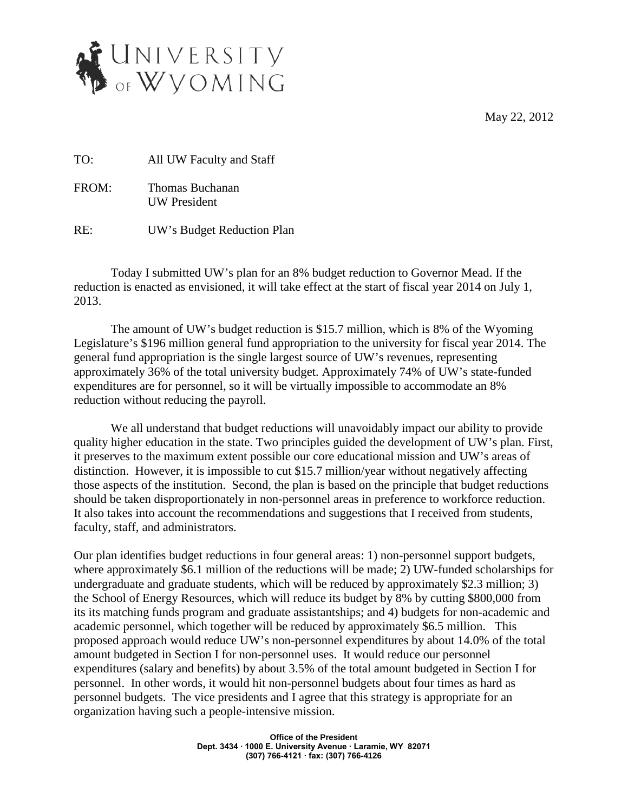May 22, 2012



TO: All UW Faculty and Staff

FROM: Thomas Buchanan UW President

RE: UW's Budget Reduction Plan

Today I submitted UW's plan for an 8% budget reduction to Governor Mead. If the reduction is enacted as envisioned, it will take effect at the start of fiscal year 2014 on July 1, 2013.

The amount of UW's budget reduction is \$15.7 million, which is 8% of the Wyoming Legislature's \$196 million general fund appropriation to the university for fiscal year 2014. The general fund appropriation is the single largest source of UW's revenues, representing approximately 36% of the total university budget. Approximately 74% of UW's state-funded expenditures are for personnel, so it will be virtually impossible to accommodate an 8% reduction without reducing the payroll.

We all understand that budget reductions will unavoidably impact our ability to provide quality higher education in the state. Two principles guided the development of UW's plan. First, it preserves to the maximum extent possible our core educational mission and UW's areas of distinction. However, it is impossible to cut \$15.7 million/year without negatively affecting those aspects of the institution. Second, the plan is based on the principle that budget reductions should be taken disproportionately in non-personnel areas in preference to workforce reduction. It also takes into account the recommendations and suggestions that I received from students, faculty, staff, and administrators.

Our plan identifies budget reductions in four general areas: 1) non-personnel support budgets, where approximately \$6.1 million of the reductions will be made; 2) UW-funded scholarships for undergraduate and graduate students, which will be reduced by approximately \$2.3 million; 3) the School of Energy Resources, which will reduce its budget by 8% by cutting \$800,000 from its its matching funds program and graduate assistantships; and 4) budgets for non-academic and academic personnel, which together will be reduced by approximately \$6.5 million. This proposed approach would reduce UW's non-personnel expenditures by about 14.0% of the total amount budgeted in Section I for non-personnel uses. It would reduce our personnel expenditures (salary and benefits) by about 3.5% of the total amount budgeted in Section I for personnel. In other words, it would hit non-personnel budgets about four times as hard as personnel budgets. The vice presidents and I agree that this strategy is appropriate for an organization having such a people-intensive mission.